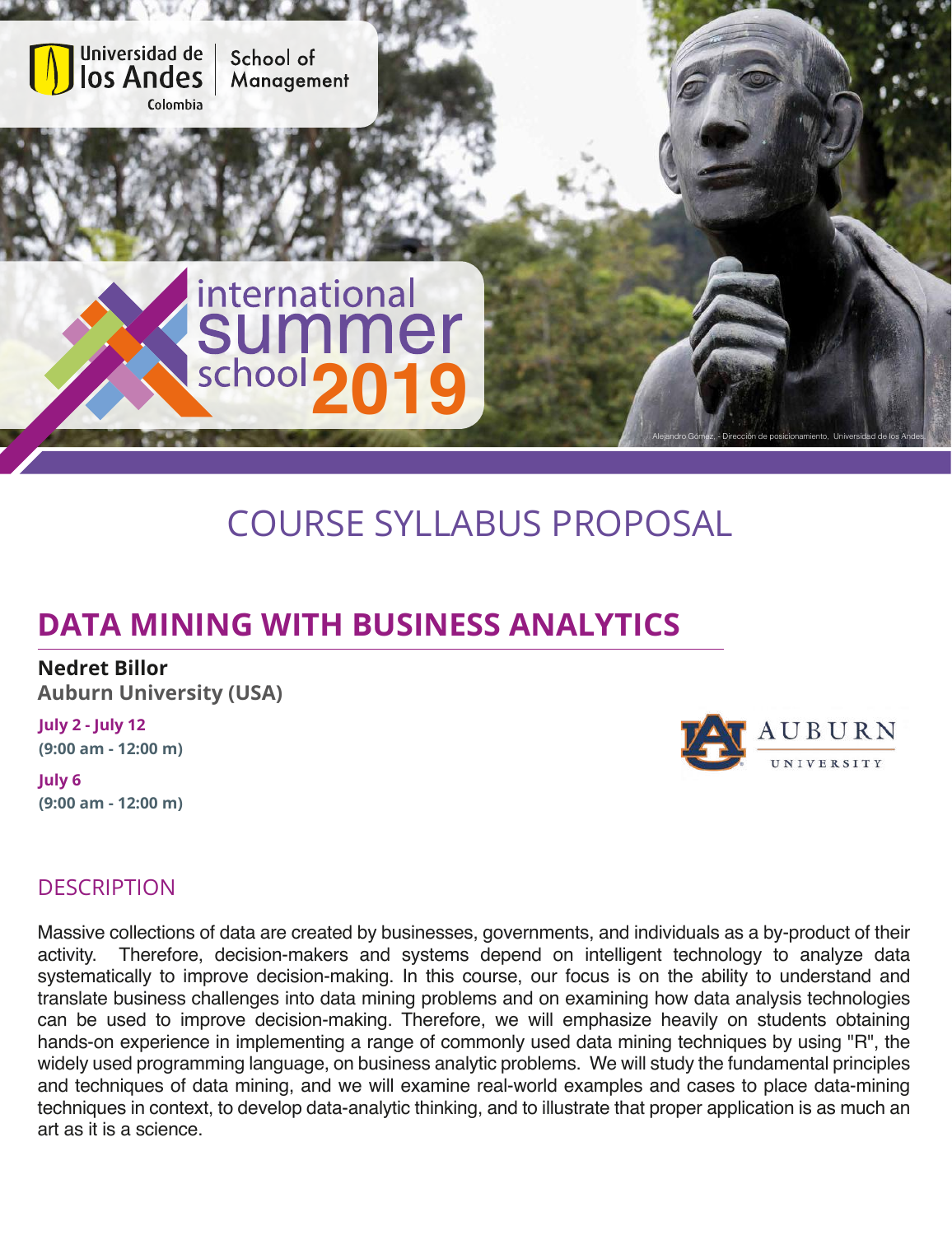

# COURSE SYLLABUS PROPOSAL

## **DATA MINING WITH BUSINESS ANALYTICS**

**Nedret Billor Auburn University (USA)**

**July 2 - July 12 (9:00 am - 12:00 m)**

**July 6 (9:00 am - 12:00 m)**



#### **DESCRIPTION**

Massive collections of data are created by businesses, governments, and individuals as a by-product of their activity. Therefore, decision-makers and systems depend on intelligent technology to analyze data systematically to improve decision-making. In this course, our focus is on the ability to understand and translate business challenges into data mining problems and on examining how data analysis technologies can be used to improve decision-making. Therefore, we will emphasize heavily on students obtaining hands-on experience in implementing a range of commonly used data mining techniques by using "R", the widely used programming language, on business analytic problems. We will study the fundamental principles and techniques of data mining, and we will examine real-world examples and cases to place data-mining techniques in context, to develop data-analytic thinking, and to illustrate that proper application is as much an art as it is a science.